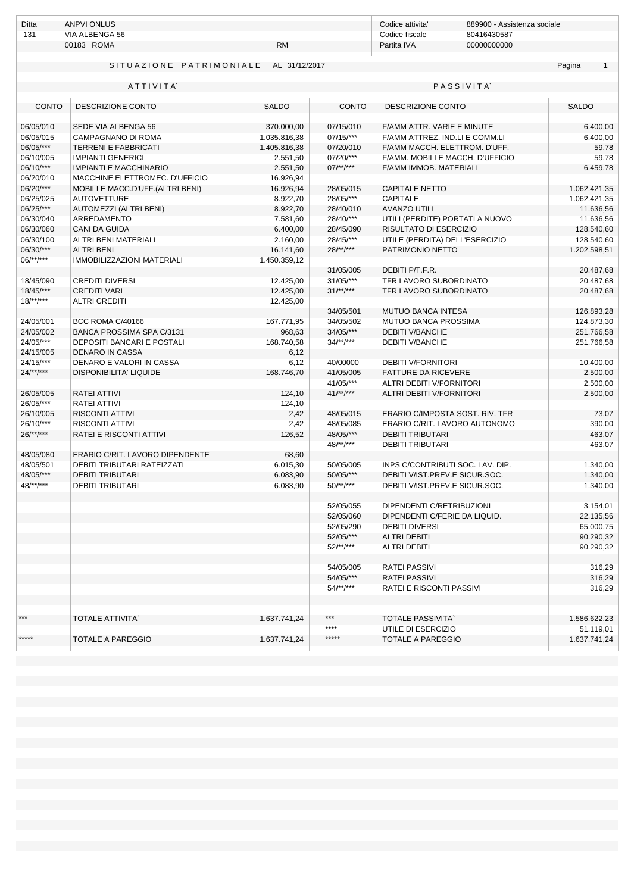| Ditta                  | <b>ANPVI ONLUS</b>                |               |                           | Codice attivita'                                   | 889900 - Assistenza sociale |                            |
|------------------------|-----------------------------------|---------------|---------------------------|----------------------------------------------------|-----------------------------|----------------------------|
| 131                    | VIA ALBENGA 56                    |               |                           | Codice fiscale<br>80416430587                      |                             |                            |
|                        | 00183 ROMA                        | <b>RM</b>     |                           | Partita IVA                                        | 00000000000                 |                            |
|                        | SITUAZIONE PATRIMONIALE           | AL 31/12/2017 | Pagina<br>$\mathbf{1}$    |                                                    |                             |                            |
|                        | ATTIVITA                          |               |                           |                                                    | <b>PASSIVITA</b>            |                            |
| <b>CONTO</b>           | DESCRIZIONE CONTO                 | <b>SALDO</b>  | <b>CONTO</b>              | DESCRIZIONE CONTO                                  |                             | <b>SALDO</b>               |
| 06/05/010              | SEDE VIA ALBENGA 56               | 370.000,00    | 07/15/010                 | F/AMM ATTR. VARIE E MINUTE                         |                             | 6.400,00                   |
| 06/05/015              | CAMPAGNANO DI ROMA                | 1.035.816,38  | $07/15$ /***              | F/AMM ATTREZ. IND.LI E COMM.LI                     |                             | 6.400,00                   |
| 06/05/***              | <b>TERRENI E FABBRICATI</b>       | 1.405.816,38  | 07/20/010                 | F/AMM MACCH. ELETTROM. D'UFF.                      |                             | 59,78                      |
| 06/10/005              | <b>IMPIANTI GENERICI</b>          | 2.551,50      | 07/20/***                 | F/AMM. MOBILI E MACCH. D'UFFICIO                   |                             | 59,78                      |
| 06/10/***              | <b>IMPIANTI E MACCHINARIO</b>     | 2.551,50      | $07$ /**/***              | F/AMM IMMOB. MATERIALI                             |                             | 6.459,78                   |
| 06/20/010              | MACCHINE ELETTROMEC. D'UFFICIO    | 16.926,94     |                           |                                                    |                             |                            |
| 06/20/***              | MOBILI E MACC.D'UFF.(ALTRI BENI)  | 16.926,94     | 28/05/015                 | <b>CAPITALE NETTO</b>                              |                             | 1.062.421,35               |
| 06/25/025              | <b>AUTOVETTURE</b>                | 8.922,70      | 28/05/***                 | <b>CAPITALE</b>                                    |                             | 1.062.421,35               |
| 06/25/***              | AUTOMEZZI (ALTRI BENI)            | 8.922,70      | 28/40/010                 | <b>AVANZO UTILI</b>                                |                             | 11.636,56                  |
| 06/30/040              | ARREDAMENTO                       | 7.581,60      | 28/40/***                 | UTILI (PERDITE) PORTATI A NUOVO                    |                             | 11.636,56                  |
| 06/30/060              | <b>CANI DA GUIDA</b>              | 6.400,00      | 28/45/090                 | RISULTATO DI ESERCIZIO                             |                             | 128.540,60                 |
|                        | <b>ALTRI BENI MATERIALI</b>       |               |                           |                                                    |                             |                            |
| 06/30/100<br>06/30/*** | <b>ALTRI BENI</b>                 | 2.160,00      | 28/45/***<br>$28$ /**/*** | UTILE (PERDITA) DELL'ESERCIZIO<br>PATRIMONIO NETTO |                             | 128.540,60<br>1.202.598,51 |
| $06$ /**/***           |                                   | 16.141,60     |                           |                                                    |                             |                            |
|                        | <b>IMMOBILIZZAZIONI MATERIALI</b> | 1.450.359,12  |                           |                                                    |                             |                            |
|                        |                                   |               | 31/05/005                 | DEBITI P/T.F.R.                                    |                             | 20.487,68                  |
| 18/45/090              | <b>CREDITI DIVERSI</b>            | 12.425,00     | $31/05$ /***              | TFR LAVORO SUBORDINATO                             |                             | 20.487,68                  |
| $18/45$ /***           | <b>CREDITI VARI</b>               | 12.425,00     | $31^{***}$                | TFR LAVORO SUBORDINATO                             |                             | 20.487,68                  |
| $18$ /**/***           | <b>ALTRI CREDITI</b>              | 12.425,00     |                           |                                                    |                             |                            |
|                        |                                   |               | 34/05/501                 | <b>MUTUO BANCA INTESA</b>                          |                             | 126.893,28                 |
| 24/05/001              | BCC ROMA C/40166                  | 167.771,95    | 34/05/502                 | MUTUO BANCA PROSSIMA                               |                             | 124.873,30                 |
| 24/05/002              | BANCA PROSSIMA SPA C/3131         | 968,63        | 34/05/***                 | <b>DEBITI V/BANCHE</b>                             |                             | 251.766,58                 |
| 24/05/***              | DEPOSITI BANCARI E POSTALI        | 168.740,58    | $34/**/***$               | <b>DEBITI V/BANCHE</b>                             |                             | 251.766,58                 |
| 24/15/005              | <b>DENARO IN CASSA</b>            | 6,12          |                           |                                                    |                             |                            |
| $24/15$ /***           | DENARO E VALORI IN CASSA          | 6,12          | 40/00000                  | <b>DEBITI V/FORNITORI</b>                          |                             | 10.400,00                  |
| $24$ /**/***           | <b>DISPONIBILITA' LIQUIDE</b>     | 168.746,70    | 41/05/005                 | <b>FATTURE DA RICEVERE</b>                         |                             | 2.500,00                   |
|                        |                                   |               | 41/05/***                 | ALTRI DEBITI V/FORNITORI                           |                             | 2.500,00                   |
| 26/05/005              | <b>RATEI ATTIVI</b>               | 124,10        | $41^{***}$                | ALTRI DEBITI V/FORNITORI                           |                             | 2.500,00                   |
| 26/05/***              | RATEI ATTIVI                      | 124,10        |                           |                                                    |                             |                            |
| 26/10/005              | <b>RISCONTI ATTIVI</b>            | 2,42          | 48/05/015                 | ERARIO C/IMPOSTA SOST. RIV. TFR                    |                             | 73,07                      |
| 26/10/***              | <b>RISCONTI ATTIVI</b>            | 2,42          | 48/05/085                 | ERARIO C/RIT. LAVORO AUTONOMO                      |                             | 390,00                     |
| $26$ /**/***           | <b>RATEI E RISCONTI ATTIVI</b>    | 126,52        | 48/05/***                 | <b>DEBITI TRIBUTARI</b>                            |                             | 463,07                     |
|                        |                                   |               | $48$ /**/***              | <b>DEBITI TRIBUTARI</b>                            |                             | 463,07                     |
| 48/05/080              | ERARIO C/RIT. LAVORO DIPENDENTE   | 68,60         |                           |                                                    |                             |                            |
| 48/05/501              | DEBITI TRIBUTARI RATEIZZATI       | 6.015,30      | 50/05/005                 | INPS C/CONTRIBUTI SOC. LAV. DIP.                   |                             | 1.340,00                   |
| 48/05/***              | <b>DEBITI TRIBUTARI</b>           | 6.083,90      | 50/05/***                 | DEBITI V/IST.PREV.E SICUR.SOC.                     |                             | 1.340,00                   |
| 48/**/***              | DEBITI TRIBUTARI                  | 6.083,90      | $50$ /**/***              | DEBITI V/IST.PREV.E SICUR.SOC.                     |                             | 1.340,00                   |
|                        |                                   |               |                           |                                                    |                             |                            |
|                        |                                   |               | 52/05/055                 | DIPENDENTI C/RETRIBUZIONI                          |                             | 3.154,01                   |
|                        |                                   |               | 52/05/060                 | DIPENDENTI C/FERIE DA LIQUID.                      |                             | 22.135,56                  |
|                        |                                   |               | 52/05/290                 | <b>DEBITI DIVERSI</b>                              |                             | 65.000,75                  |
|                        |                                   |               | 52/05/***                 | <b>ALTRI DEBITI</b>                                |                             | 90.290,32                  |
|                        |                                   |               | $52$ /**/***              | <b>ALTRI DEBITI</b>                                |                             | 90.290,32                  |
|                        |                                   |               |                           |                                                    |                             |                            |
|                        |                                   |               | 54/05/005                 | <b>RATEI PASSIVI</b>                               |                             | 316,29                     |
|                        |                                   |               | 54/05/***                 | <b>RATEI PASSIVI</b>                               |                             | 316,29                     |
|                        |                                   |               | $54$ /**/***              | <b>RATEI E RISCONTI PASSIVI</b>                    |                             | 316,29                     |
|                        |                                   |               |                           |                                                    |                             |                            |
|                        |                                   |               |                           |                                                    |                             |                            |
| ***                    | <b>TOTALE ATTIVITA`</b>           | 1.637.741,24  | ***                       | <b>TOTALE PASSIVITA</b>                            |                             | 1.586.622,23               |
|                        |                                   |               | ****                      | UTILE DI ESERCIZIO                                 |                             | 51.119,01                  |
| *****                  | <b>TOTALE A PAREGGIO</b>          | 1.637.741,24  | *****                     | <b>TOTALE A PAREGGIO</b>                           |                             | 1.637.741,24               |
|                        |                                   |               |                           |                                                    |                             |                            |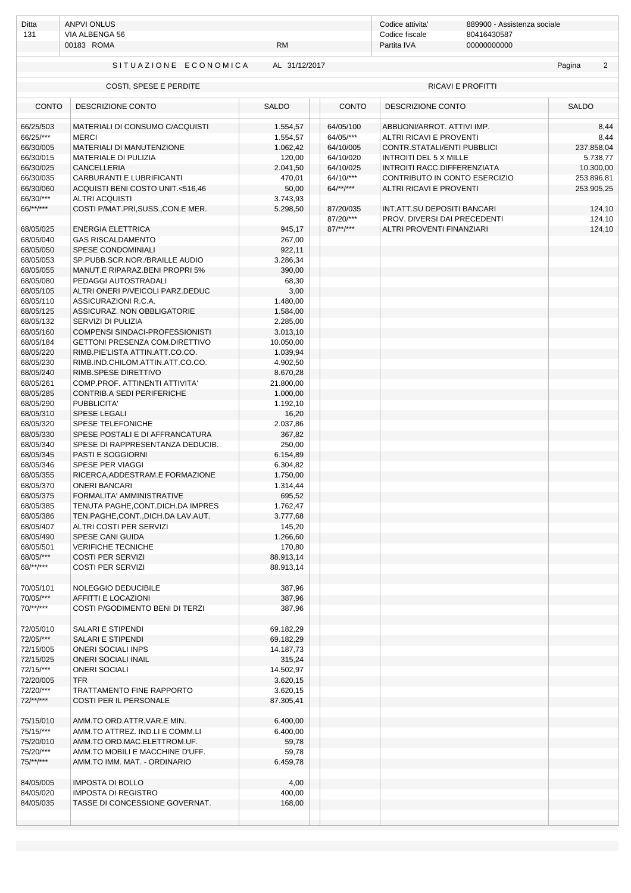| Ditta<br>131                        | <b>ANPVI ONLUS</b><br>VIA ALBENGA 56<br>00183 ROMA<br><b>RM</b>              |                                  |                                     | Codice attivita'<br>889900 - Assistenza sociale<br>Codice fiscale<br>80416430587<br>Partita IVA<br>00000000000 |                   |                            |  |
|-------------------------------------|------------------------------------------------------------------------------|----------------------------------|-------------------------------------|----------------------------------------------------------------------------------------------------------------|-------------------|----------------------------|--|
|                                     | SITUAZIONE ECONOMICA                                                         | AL 31/12/2017                    |                                     |                                                                                                                |                   | Pagina<br>2                |  |
|                                     | COSTI, SPESE E PERDITE                                                       |                                  |                                     |                                                                                                                | RICAVI E PROFITTI |                            |  |
| <b>CONTO</b>                        | DESCRIZIONE CONTO                                                            | <b>SALDO</b>                     | <b>CONTO</b>                        | DESCRIZIONE CONTO                                                                                              |                   | <b>SALDO</b>               |  |
| 66/25/503<br>66/25/***<br>66/30/005 | MATERIALI DI CONSUMO C/ACQUISTI<br><b>MERCI</b><br>MATERIALI DI MANUTENZIONE | 1.554,57<br>1.554,57<br>1.062,42 | 64/05/100<br>64/05/***<br>64/10/005 | ABBUONI/ARROT, ATTIVI IMP.<br><b>ALTRI RICAVI E PROVENTI</b><br>CONTR.STATALI/ENTI PUBBLICI                    |                   | 8,44<br>8,44<br>237.858,04 |  |
| 66/30/015                           | MATERIALE DI PULIZIA                                                         | 120,00                           | 64/10/020                           | <b>INTROITI DEL 5 X MILLE</b>                                                                                  |                   | 5.738,77                   |  |
| 66/30/025                           | <b>CANCELLERIA</b>                                                           | 2.041,50                         | 64/10/025                           | INTROITI RACC.DIFFERENZIATA                                                                                    |                   | 10.300,00                  |  |
| 66/30/035                           | CARBURANTI E LUBRIFICANTI                                                    | 470,01                           | 64/10/***                           | CONTRIBUTO IN CONTO ESERCIZIO                                                                                  |                   | 253.896,81                 |  |
| 66/30/060                           | ACQUISTI BENI COSTO UNIT.<516,46                                             | 50,00                            | $64$ /**/***                        | <b>ALTRI RICAVI E PROVENTI</b>                                                                                 |                   | 253.905,25                 |  |
| 66/30/***                           | <b>ALTRI ACQUISTI</b>                                                        | 3.743,93                         |                                     |                                                                                                                |                   |                            |  |
| 66/**/***                           | COSTI P/MAT.PRI, SUSS., CON.E MER.                                           | 5.298,50                         | 87/20/035<br>87/20/***              | INT.ATT.SU DEPOSITI BANCARI<br>PROV. DIVERSI DAI PRECEDENTI                                                    |                   | 124,10                     |  |
| 68/05/025                           | <b>ENERGIA ELETTRICA</b>                                                     | 945,17                           | $87$ /**/***                        | ALTRI PROVENTI FINANZIARI                                                                                      |                   | 124,10<br>124,10           |  |
| 68/05/040                           | <b>GAS RISCALDAMENTO</b>                                                     | 267,00                           |                                     |                                                                                                                |                   |                            |  |
| 68/05/050                           | SPESE CONDOMINIALI                                                           | 922,11                           |                                     |                                                                                                                |                   |                            |  |
| 68/05/053                           | SP.PUBB.SCR.NOR./BRAILLE AUDIO                                               | 3.286,34                         |                                     |                                                                                                                |                   |                            |  |
| 68/05/055                           | MANUT.E RIPARAZ.BENI PROPRI 5%                                               | 390,00                           |                                     |                                                                                                                |                   |                            |  |
| 68/05/080                           | PEDAGGI AUTOSTRADALI                                                         | 68,30                            |                                     |                                                                                                                |                   |                            |  |
| 68/05/105                           | ALTRI ONERI P/VEICOLI PARZ.DEDUC                                             | 3,00                             |                                     |                                                                                                                |                   |                            |  |
| 68/05/110                           | ASSICURAZIONI R.C.A.                                                         | 1.480,00                         |                                     |                                                                                                                |                   |                            |  |
| 68/05/125                           | ASSICURAZ. NON OBBLIGATORIE                                                  | 1.584,00                         |                                     |                                                                                                                |                   |                            |  |
| 68/05/132                           | SERVIZI DI PULIZIA                                                           | 2.285,00                         |                                     |                                                                                                                |                   |                            |  |
| 68/05/160                           | COMPENSI SINDACI-PROFESSIONISTI                                              | 3.013,10                         |                                     |                                                                                                                |                   |                            |  |
| 68/05/184                           | GETTONI PRESENZA COM.DIRETTIVO                                               | 10.050,00                        |                                     |                                                                                                                |                   |                            |  |
| 68/05/220                           | RIMB.PIE'LISTA ATTIN.ATT.CO.CO.                                              | 1.039,94                         |                                     |                                                                                                                |                   |                            |  |
| 68/05/230                           | RIMB.IND.CHILOM.ATTIN.ATT.CO.CO.                                             | 4.902,50                         |                                     |                                                                                                                |                   |                            |  |
| 68/05/240                           | RIMB.SPESE DIRETTIVO                                                         | 8.670,28                         |                                     |                                                                                                                |                   |                            |  |
| 68/05/261                           | COMP.PROF. ATTINENTI ATTIVITA'                                               | 21.800,00                        |                                     |                                                                                                                |                   |                            |  |
| 68/05/285                           | CONTRIB.A SEDI PERIFERICHE                                                   | 1.000,00                         |                                     |                                                                                                                |                   |                            |  |
| 68/05/290                           | PUBBLICITA'                                                                  | 1.192,10                         |                                     |                                                                                                                |                   |                            |  |
| 68/05/310                           | <b>SPESE LEGALI</b>                                                          | 16,20                            |                                     |                                                                                                                |                   |                            |  |
| 68/05/320                           | SPESE TELEFONICHE                                                            | 2.037,86                         |                                     |                                                                                                                |                   |                            |  |
| 68/05/330                           | SPESE POSTALI E DI AFFRANCATURA                                              | 367,82                           |                                     |                                                                                                                |                   |                            |  |
| 68/05/340                           | SPESE DI RAPPRESENTANZA DEDUCIB.                                             | 250,00                           |                                     |                                                                                                                |                   |                            |  |
| 68/05/345                           | <b>PASTI E SOGGIORNI</b>                                                     | 6.154,89                         |                                     |                                                                                                                |                   |                            |  |
| 68/05/346<br>68/05/355              | SPESE PER VIAGGI<br>RICERCA, ADDESTRAM.E FORMAZIONE                          | 6.304,82<br>1.750,00             |                                     |                                                                                                                |                   |                            |  |
| 68/05/370                           | ONERI BANCARI                                                                | 1.314,44                         |                                     |                                                                                                                |                   |                            |  |
| 68/05/375                           | FORMALITA' AMMINISTRATIVE                                                    | 695,52                           |                                     |                                                                                                                |                   |                            |  |
| 68/05/385                           | TENUTA PAGHE, CONT. DICH. DA IMPRES                                          | 1.762,47                         |                                     |                                                                                                                |                   |                            |  |
| 68/05/386                           | TEN.PAGHE,CONT.,DICH.DA LAV.AUT.                                             | 3.777,68                         |                                     |                                                                                                                |                   |                            |  |
| 68/05/407                           | ALTRI COSTI PER SERVIZI                                                      | 145,20                           |                                     |                                                                                                                |                   |                            |  |
| 68/05/490                           | SPESE CANI GUIDA                                                             | 1.266,60                         |                                     |                                                                                                                |                   |                            |  |
| 68/05/501                           | <b>VERIFICHE TECNICHE</b>                                                    | 170,80                           |                                     |                                                                                                                |                   |                            |  |
| 68/05/***                           | <b>COSTI PER SERVIZI</b>                                                     | 88.913,14                        |                                     |                                                                                                                |                   |                            |  |
| 68/**/***                           | <b>COSTI PER SERVIZI</b>                                                     | 88.913,14                        |                                     |                                                                                                                |                   |                            |  |
| 70/05/101                           | NOLEGGIO DEDUCIBILE                                                          | 387,96                           |                                     |                                                                                                                |                   |                            |  |
| 70/05/***                           | AFFITTI E LOCAZIONI                                                          | 387,96                           |                                     |                                                                                                                |                   |                            |  |
| $70$ /**/***                        | COSTI P/GODIMENTO BENI DI TERZI                                              | 387,96                           |                                     |                                                                                                                |                   |                            |  |
| 72/05/010                           | SALARI E STIPENDI                                                            | 69.182,29                        |                                     |                                                                                                                |                   |                            |  |
| 72/05/***                           | <b>SALARI E STIPENDI</b>                                                     | 69.182,29                        |                                     |                                                                                                                |                   |                            |  |
| 72/15/005                           | <b>ONERI SOCIALI INPS</b>                                                    | 14.187,73                        |                                     |                                                                                                                |                   |                            |  |
| 72/15/025                           | <b>ONERI SOCIALI INAIL</b>                                                   | 315,24                           |                                     |                                                                                                                |                   |                            |  |
| 72/15/***                           | <b>ONERI SOCIALI</b>                                                         | 14.502,97                        |                                     |                                                                                                                |                   |                            |  |
| 72/20/005                           | <b>TFR</b>                                                                   | 3.620,15                         |                                     |                                                                                                                |                   |                            |  |
| 72/20/***                           | TRATTAMENTO FINE RAPPORTO                                                    | 3.620,15                         |                                     |                                                                                                                |                   |                            |  |
| $72$ /**/***                        | COSTI PER IL PERSONALE                                                       | 87.305,41                        |                                     |                                                                                                                |                   |                            |  |
| 75/15/010                           | AMM.TO ORD.ATTR.VAR.E MIN.                                                   | 6.400,00                         |                                     |                                                                                                                |                   |                            |  |
| 75/15/***                           | AMM.TO ATTREZ. IND.LI E COMM.LI                                              | 6.400,00                         |                                     |                                                                                                                |                   |                            |  |
| 75/20/010                           | AMM.TO ORD.MAC.ELETTROM.UF.                                                  | 59,78                            |                                     |                                                                                                                |                   |                            |  |
| 75/20/***                           | AMM.TO MOBILI E MACCHINE D'UFF.                                              | 59,78                            |                                     |                                                                                                                |                   |                            |  |
| $75$ /**/***                        | AMM.TO IMM. MAT. - ORDINARIO                                                 | 6.459,78                         |                                     |                                                                                                                |                   |                            |  |
|                                     |                                                                              |                                  |                                     |                                                                                                                |                   |                            |  |
| 84/05/005                           | <b>IMPOSTA DI BOLLO</b>                                                      | 4,00                             |                                     |                                                                                                                |                   |                            |  |
| 84/05/020                           | <b>IMPOSTA DI REGISTRO</b>                                                   | 400,00                           |                                     |                                                                                                                |                   |                            |  |
| 84/05/035                           | TASSE DI CONCESSIONE GOVERNAT.                                               | 168,00                           |                                     |                                                                                                                |                   |                            |  |
|                                     |                                                                              |                                  |                                     |                                                                                                                |                   |                            |  |